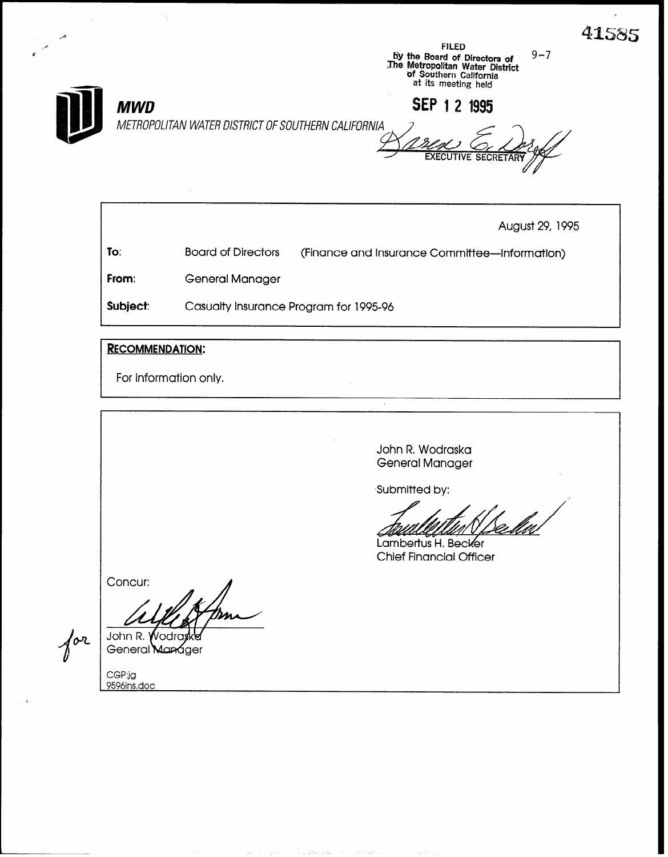

For information only.

John R, Wodraska General Manager

Submitted by:

Lambertus H. Becker Chief Financial Officer

Concur:

John R. Wodr General Man áger

CGP:jg<br>9596ins.doc

 $\sqrt{\alpha^2}$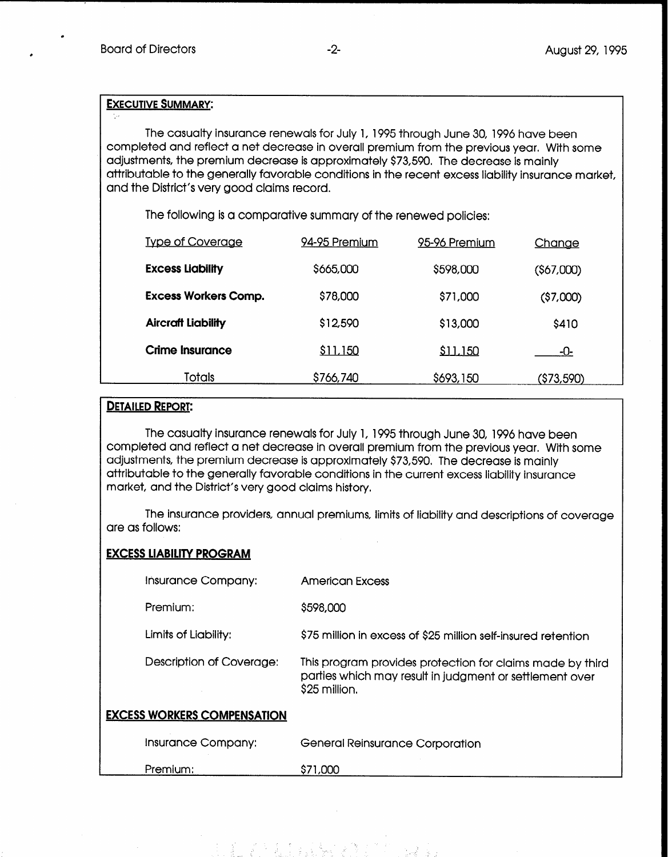## EXECUTIVE SUMMARY:

The casualty insurance renewals for July 1, 1995 through June 30, 1996 have been completed and reflect a net decrease in overall premium from the previous year. With some adjustments, the premium decrease is approximately \$73,590. The decrease is mainly attributable to the generally favorable conditions in the recent excess liability insurance market, and the District's very good claims record.

The following is a comparative summary of the renewed policies:

| <b>Type of Coverage</b>     | 94-95 Premium | 95-96 Premium | <u>Chanae</u> |  |
|-----------------------------|---------------|---------------|---------------|--|
| <b>Excess Liability</b>     | \$665,000     | \$598,000     | $($ \$67,000) |  |
| <b>Excess Workers Comp.</b> | \$78,000      | \$71,000      | ( \$7,000)    |  |
| <b>Aircraft Liability</b>   | \$12,590      | \$13,000      | \$410         |  |
| Crime Insurance             | \$11,150      | \$11,150      | -0-           |  |
| <b>Totals</b>               | \$766,740     | \$693,150     | (\$73,590)    |  |

## **DETAILED REPORT:**

The casualty insurance renewals for July 1, 1995 through June 30, 1996 have been completed and reflect a net decrease in overall premium from the previous year. With some adjustments, the premium decrease is approximately \$73,590. The decrease is mainly attributable to the generally favorable conditions in the current excess liability insurance market, and the District's very good claims history.

The insurance providers, annual premiums, limits of liability and descriptions of coverage are as follows:

## EXCESS LlABlLlTY PROGRAM

| Insurance Company:                 | <b>American Excess</b>                                                                                                                |
|------------------------------------|---------------------------------------------------------------------------------------------------------------------------------------|
| Premium:                           | \$598,000                                                                                                                             |
| Limits of Liability:               | \$75 million in excess of \$25 million self-insured retention                                                                         |
| Description of Coverage:           | This program provides protection for claims made by third<br>parties which may result in judgment or settlement over<br>\$25 million. |
| <b>EXCESS WORKERS COMPENSATION</b> |                                                                                                                                       |
| Insurance Company:                 | <b>General Reinsurance Corporation</b>                                                                                                |
| Premium:                           | \$71,000                                                                                                                              |

"王"没有